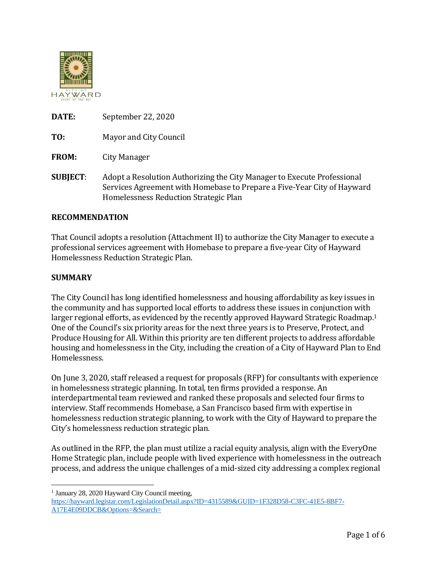

| DATE: | September 22, 2020 |
|-------|--------------------|
|-------|--------------------|

**TO:** Mayor and City Council

**FROM:** City Manager

**SUBJECT**: Adopt a Resolution Authorizing the City Manager to Execute Professional Services Agreement with Homebase to Prepare a Five-Year City of Hayward Homelessness Reduction Strategic Plan

## **RECOMMENDATION**

That Council adopts a resolution (Attachment II) to authorize the City Manager to execute a professional services agreement with Homebase to prepare a five-year City of Hayward Homelessness Reduction Strategic Plan.

### **SUMMARY**

 $\overline{a}$ 

The City Council has long identified homelessness and housing affordability as key issues in the community and has supported local efforts to address these issues in conjunction with larger regional efforts, as evidenced by the recently approved Hayward Strategic Roadmap.<sup>1</sup> One of the Council's six priority areas for the next three years is to Preserve, Protect, and Produce Housing for All. Within this priority are ten different projects to address affordable housing and homelessness in the City, including the creation of a City of Hayward Plan to End Homelessness.

On June 3, 2020, staff released a request for proposals (RFP) for consultants with experience in homelessness strategic planning. In total, ten firms provided a response. An interdepartmental team reviewed and ranked these proposals and selected four firms to interview. Staff recommends Homebase, a San Francisco based firm with expertise in homelessness reduction strategic planning, to work with the City of Hayward to prepare the City's homelessness reduction strategic plan.

As outlined in the RFP, the plan must utilize a racial equity analysis, align with the EveryOne Home Strategic plan, include people with lived experience with homelessness in the outreach process, and address the unique challenges of a mid-sized city addressing a complex regional

<sup>&</sup>lt;sup>1</sup> January 28, 2020 Hayward City Council meeting, [https://hayward.legistar.com/LegislationDetail.aspx?ID=4315589&GUID=1F328D58-C3FC-41E5-8BF7-](https://hayward.legistar.com/LegislationDetail.aspx?ID=4315589&GUID=1F328D58-C3FC-41E5-8BF7-A17E4E09DDCB&Options=&Search=) [A17E4E09DDCB&Options=&Search=](https://hayward.legistar.com/LegislationDetail.aspx?ID=4315589&GUID=1F328D58-C3FC-41E5-8BF7-A17E4E09DDCB&Options=&Search=)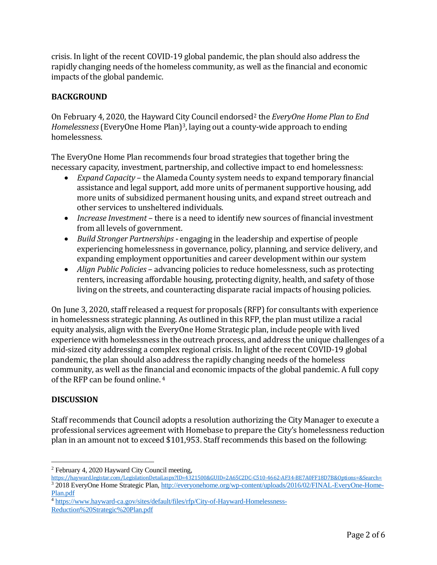crisis. In light of the recent COVID-19 global pandemic, the plan should also address the rapidly changing needs of the homeless community, as well as the financial and economic impacts of the global pandemic.

# **BACKGROUND**

On February 4, 2020, the Hayward City Council endorsed<sup>2</sup> the *EveryOne Home Plan to End Homelessness* (EveryOne Home Plan)3, laying out a county-wide approach to ending homelessness.

The EveryOne Home Plan recommends four broad strategies that together bring the necessary capacity, investment, partnership, and collective impact to end homelessness:

- *Expand Capacity*  the Alameda County system needs to expand temporary financial assistance and legal support, add more units of permanent supportive housing, add more units of subsidized permanent housing units, and expand street outreach and other services to unsheltered individuals.
- *Increase Investment* there is a need to identify new sources of financial investment from all levels of government.
- *Build Stronger Partnerships*  engaging in the leadership and expertise of people experiencing homelessness in governance, policy, planning, and service delivery, and expanding employment opportunities and career development within our system
- *Align Public Policies* advancing policies to reduce homelessness, such as protecting renters, increasing affordable housing, protecting dignity, health, and safety of those living on the streets, and counteracting disparate racial impacts of housing policies.

On June 3, 2020, staff released a request for proposals (RFP) for consultants with experience in homelessness strategic planning. As outlined in this RFP, the plan must utilize a racial equity analysis, align with the EveryOne Home Strategic plan, include people with lived experience with homelessness in the outreach process, and address the unique challenges of a mid-sized city addressing a complex regional crisis. In light of the recent COVID-19 global pandemic, the plan should also address the rapidly changing needs of the homeless community, as well as the financial and economic impacts of the global pandemic. A full copy of the RFP can be found online. <sup>4</sup>

## **DISCUSSION**

 $\overline{a}$ 

Staff recommends that Council adopts a resolution authorizing the City Manager to execute a professional services agreement with Homebase to prepare the City's homelessness reduction plan in an amount not to exceed \$101,953. Staff recommends this based on the following:

<sup>2</sup> February 4, 2020 Hayward City Council meeting,

<https://hayward.legistar.com/LegislationDetail.aspx?ID=4321500&GUID=2A65C2DC-C510-4662-AF34-BE7A0FF18D7B&Options=&Search=> <sup>3</sup> 2018 EveryOne Home Strategic Plan[, http://everyonehome.org/wp-content/uploads/2016/02/FINAL-EveryOne-Home-](http://everyonehome.org/wp-content/uploads/2016/02/FINAL-EveryOne-Home-Plan.pdf)[Plan.pdf](http://everyonehome.org/wp-content/uploads/2016/02/FINAL-EveryOne-Home-Plan.pdf)

<sup>4</sup> [https://www.hayward-ca.gov/sites/default/files/rfp/City-of-Hayward-Homelessness-](https://www.hayward-ca.gov/sites/default/files/rfp/City-of-Hayward-Homelessness-Reduction%20Strategic%20Plan.pdf)[Reduction%20Strategic%20Plan.pdf](https://www.hayward-ca.gov/sites/default/files/rfp/City-of-Hayward-Homelessness-Reduction%20Strategic%20Plan.pdf)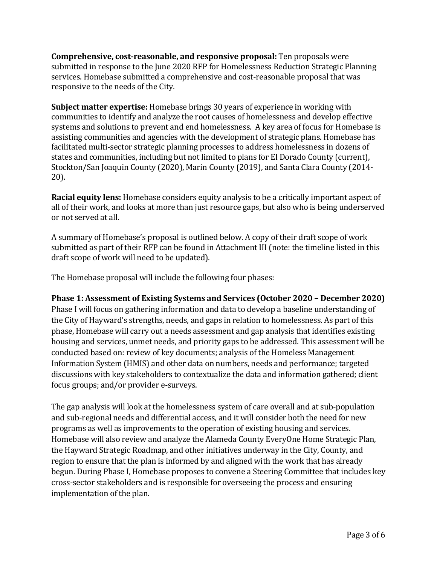**Comprehensive, cost-reasonable, and responsive proposal:** Ten proposals were submitted in response to the June 2020 RFP for Homelessness Reduction Strategic Planning services. Homebase submitted a comprehensive and cost-reasonable proposal that was responsive to the needs of the City.

**Subject matter expertise:** Homebase brings 30 years of experience in working with communities to identify and analyze the root causes of homelessness and develop effective systems and solutions to prevent and end homelessness. A key area of focus for Homebase is assisting communities and agencies with the development of strategic plans. Homebase has facilitated multi-sector strategic planning processes to address homelessness in dozens of states and communities, including but not limited to plans for El Dorado County (current), Stockton/San Joaquin County (2020), Marin County (2019), and Santa Clara County (2014- 20).

**Racial equity lens:** Homebase considers equity analysis to be a critically important aspect of all of their work, and looks at more than just resource gaps, but also who is being underserved or not served at all.

A summary of Homebase's proposal is outlined below. A copy of their draft scope of work submitted as part of their RFP can be found in Attachment III (note: the timeline listed in this draft scope of work will need to be updated).

The Homebase proposal will include the following four phases:

## **Phase 1: Assessment of Existing Systems and Services (October 2020 – December 2020)**

Phase I will focus on gathering information and data to develop a baseline understanding of the City of Hayward's strengths, needs, and gaps in relation to homelessness. As part of this phase, Homebase will carry out a needs assessment and gap analysis that identifies existing housing and services, unmet needs, and priority gaps to be addressed. This assessment will be conducted based on: review of key documents; analysis of the Homeless Management Information System (HMIS) and other data on numbers, needs and performance; targeted discussions with key stakeholders to contextualize the data and information gathered; client focus groups; and/or provider e-surveys.

The gap analysis will look at the homelessness system of care overall and at sub-population and sub-regional needs and differential access, and it will consider both the need for new programs as well as improvements to the operation of existing housing and services. Homebase will also review and analyze the Alameda County EveryOne Home Strategic Plan, the Hayward Strategic Roadmap, and other initiatives underway in the City, County, and region to ensure that the plan is informed by and aligned with the work that has already begun. During Phase I, Homebase proposes to convene a Steering Committee that includes key cross-sector stakeholders and is responsible for overseeing the process and ensuring implementation of the plan.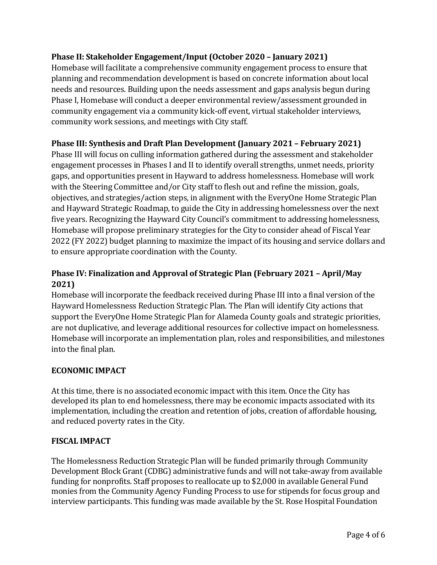## **Phase II: Stakeholder Engagement/Input (October 2020 – January 2021)**

Homebase will facilitate a comprehensive community engagement process to ensure that planning and recommendation development is based on concrete information about local needs and resources. Building upon the needs assessment and gaps analysis begun during Phase I, Homebase will conduct a deeper environmental review/assessment grounded in community engagement via a community kick-off event, virtual stakeholder interviews, community work sessions, and meetings with City staff.

## **Phase III: Synthesis and Draft Plan Development (January 2021 – February 2021)**

Phase III will focus on culling information gathered during the assessment and stakeholder engagement processes in Phases I and II to identify overall strengths, unmet needs, priority gaps, and opportunities present in Hayward to address homelessness. Homebase will work with the Steering Committee and/or City staff to flesh out and refine the mission, goals, objectives, and strategies/action steps, in alignment with the EveryOne Home Strategic Plan and Hayward Strategic Roadmap, to guide the City in addressing homelessness over the next five years. Recognizing the Hayward City Council's commitment to addressing homelessness, Homebase will propose preliminary strategies for the City to consider ahead of Fiscal Year 2022 (FY 2022) budget planning to maximize the impact of its housing and service dollars and to ensure appropriate coordination with the County.

# **Phase IV: Finalization and Approval of Strategic Plan (February 2021 – April/May 2021)**

Homebase will incorporate the feedback received during Phase III into a final version of the Hayward Homelessness Reduction Strategic Plan. The Plan will identify City actions that support the EveryOne Home Strategic Plan for Alameda County goals and strategic priorities, are not duplicative, and leverage additional resources for collective impact on homelessness. Homebase will incorporate an implementation plan, roles and responsibilities, and milestones into the final plan.

## **ECONOMIC IMPACT**

At this time, there is no associated economic impact with this item. Once the City has developed its plan to end homelessness, there may be economic impacts associated with its implementation, including the creation and retention of jobs, creation of affordable housing, and reduced poverty rates in the City.

## **FISCAL IMPACT**

The Homelessness Reduction Strategic Plan will be funded primarily through Community Development Block Grant (CDBG) administrative funds and will not take-away from available funding for nonprofits. Staff proposes to reallocate up to \$2,000 in available General Fund monies from the Community Agency Funding Process to use for stipends for focus group and interview participants. This funding was made available by the St. Rose Hospital Foundation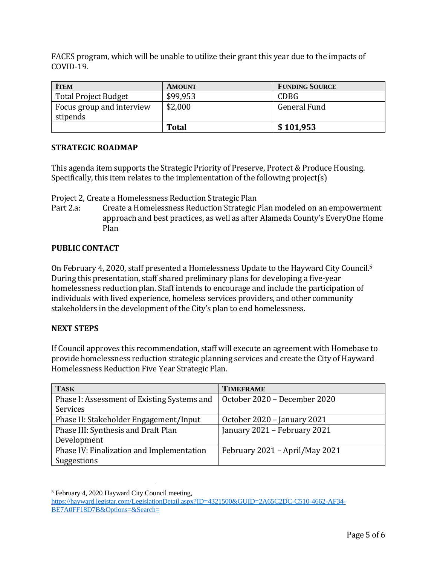FACES program, which will be unable to utilize their grant this year due to the impacts of COVID-19.

| <b>ITEM</b>                           | <b>AMOUNT</b> | <b>FUNDING SOURCE</b> |
|---------------------------------------|---------------|-----------------------|
| <b>Total Project Budget</b>           | \$99,953      | <b>CDBG</b>           |
| Focus group and interview<br>stipends | \$2,000       | <b>General Fund</b>   |
|                                       | <b>Total</b>  | \$101,953             |

### **STRATEGIC ROADMAP**

This agenda item supports the Strategic Priority of Preserve, Protect & Produce Housing. Specifically, this item relates to the implementation of the following project(s)

Project 2, Create a Homelessness Reduction Strategic Plan

Part 2.a: Create a Homelessness Reduction Strategic Plan modeled on an empowerment approach and best practices, as well as after Alameda County's EveryOne Home Plan

## **PUBLIC CONTACT**

On February 4, 2020, staff presented a Homelessness Update to the Hayward City Council. 5 During this presentation, staff shared preliminary plans for developing a five-year homelessness reduction plan. Staff intends to encourage and include the participation of individuals with lived experience, homeless services providers, and other community stakeholders in the development of the City's plan to end homelessness.

## **NEXT STEPS**

 $\overline{a}$ 

If Council approves this recommendation, staff will execute an agreement with Homebase to provide homelessness reduction strategic planning services and create the City of Hayward Homelessness Reduction Five Year Strategic Plan.

| <b>TASK</b>                                 | <b>TIMEFRAME</b>               |  |
|---------------------------------------------|--------------------------------|--|
| Phase I: Assessment of Existing Systems and | October 2020 - December 2020   |  |
| Services                                    |                                |  |
| Phase II: Stakeholder Engagement/Input      | October 2020 - January 2021    |  |
| Phase III: Synthesis and Draft Plan         | January 2021 - February 2021   |  |
| Development                                 |                                |  |
| Phase IV: Finalization and Implementation   | February 2021 - April/May 2021 |  |
| Suggestions                                 |                                |  |

<sup>5</sup> February 4, 2020 Hayward City Council meeting, [https://hayward.legistar.com/LegislationDetail.aspx?ID=4321500&GUID=2A65C2DC-C510-4662-AF34-](https://hayward.legistar.com/LegislationDetail.aspx?ID=4321500&GUID=2A65C2DC-C510-4662-AF34-BE7A0FF18D7B&Options=&Search=) [BE7A0FF18D7B&Options=&Search=](https://hayward.legistar.com/LegislationDetail.aspx?ID=4321500&GUID=2A65C2DC-C510-4662-AF34-BE7A0FF18D7B&Options=&Search=)